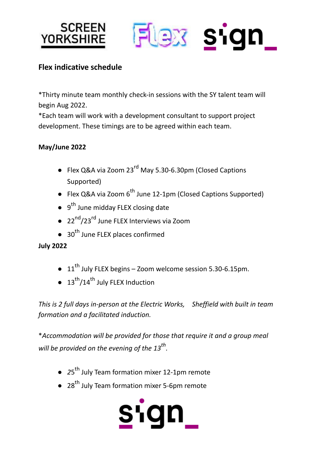



# **Flex indicative schedule**

\*Thirty minute team monthly check-in sessions with the SY talent team will begin Aug 2022.

\*Each team will work with a development consultant to support project development. These timings are to be agreed within each team.

### **May/June 2022**

- Flex Q&A via Zoom 23<sup>rd</sup> May 5.30-6.30pm (Closed Captions Supported)
- Flex Q&A via Zoom 6<sup>th</sup> June 12-1pm (Closed Captions Supported)
- $\bullet$  9<sup>th</sup> June midday FLEX closing date
- 22<sup>nd</sup>/23<sup>rd</sup> June FLEX Interviews via Zoom
- 30<sup>th</sup> June FLEX places confirmed

### **July 2022**

- $\bullet$  11<sup>th</sup> July FLEX begins Zoom welcome session 5.30-6.15pm.
- $\bullet$  13<sup>th</sup>/14<sup>th</sup> July FLEX Induction

*This is 2 full days in-person at the Electric Works, Sheffield with built in team formation and a facilitated induction.*

\**Accommodation will be provided for those that require it and a group meal will be provided on the evening of the 13 th .*

- 25<sup>th</sup> July Team formation mixer 12-1pm remote
- 28<sup>th</sup> July Team formation mixer 5-6pm remote

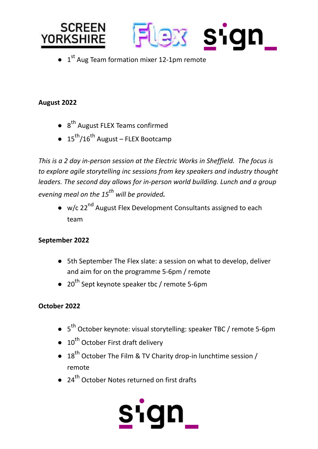

 $\bullet$  1<sup>st</sup> Aug Team formation mixer 12-1pm remote

## **August 2022**

- 8<sup>th</sup> August FLEX Teams confirmed
- 15<sup>th</sup>/16<sup>th</sup> August FLEX Bootcamp

*This is a 2 day in-person session at the Electric Works in Sheffield. The focus is to explore agile storytelling inc sessions from key speakers and industry thought leaders. The second day allows for in-person world building. Lunch and a group evening meal on the 15 th will be provided.*

● w/c 22<sup>nd</sup> August Flex Development Consultants assigned to each team

### **September 2022**

- 5th September The Flex slate: a session on what to develop, deliver and aim for on the programme 5-6pm / remote
- $\bullet$  20<sup>th</sup> Sept keynote speaker tbc / remote 5-6pm

### **October 2022**

- 5<sup>th</sup> October keynote: visual storytelling: speaker TBC / remote 5-6pm
- 10<sup>th</sup> October First draft delivery
- $\bullet$  18<sup>th</sup> October The Film & TV Charity drop-in lunchtime session / remote
- 24<sup>th</sup> October Notes returned on first drafts